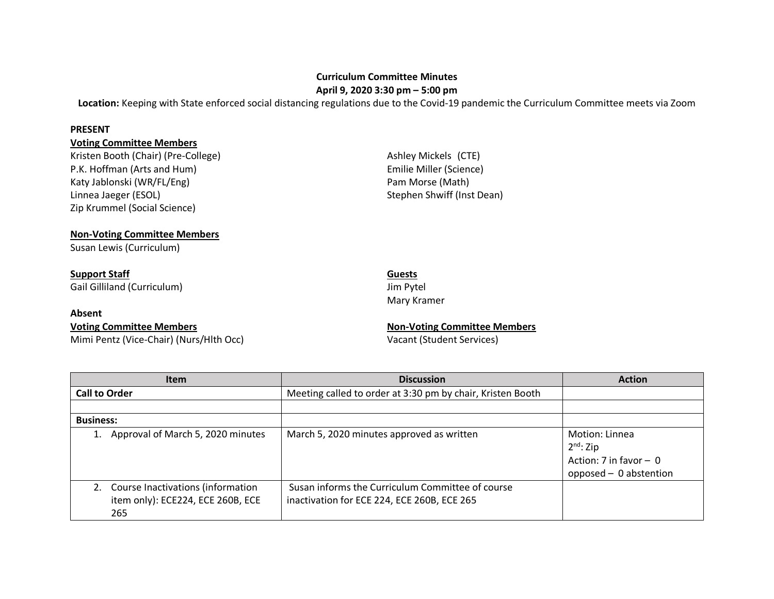# **Curriculum Committee Minutes**

**April 9, 2020 3:30 pm – 5:00 pm**

**Location:** Keeping with State enforced social distancing regulations due to the Covid-19 pandemic the Curriculum Committee meets via Zoom

### **PRESENT**

## **Voting Committee Members**

Kristen Booth (Chair) (Pre-College) Ashley Mickels (CTE) P.K. Hoffman (Arts and Hum) **Emilie Miller (Science)** Katy Jablonski (WR/FL/Eng) entitled and the extended parameter of Pam Morse (Math) Linnea Jaeger (ESOL) Stephen Shwiff (Inst Dean) Zip Krummel (Social Science)

## **Non-Voting Committee Members**

Susan Lewis (Curriculum)

# **Support Staff** Guests **Guests**

Gail Gilliland (Curriculum) and the state of the state of the state of the state of the state of the state of the state of the state of the state of the state of the state of the state of the state of the state of the stat

## **Absent**

## **Voting Committee Members Non-Voting Committee Members**

Mimi Pentz (Vice-Chair) (Nurs/Hlth Occ) Vacant (Student Services)

Mary Kramer

| <b>Item</b>                                                                   | <b>Discussion</b>                                                                               | <b>Action</b>                                                                          |
|-------------------------------------------------------------------------------|-------------------------------------------------------------------------------------------------|----------------------------------------------------------------------------------------|
| <b>Call to Order</b>                                                          | Meeting called to order at 3:30 pm by chair, Kristen Booth                                      |                                                                                        |
|                                                                               |                                                                                                 |                                                                                        |
| <b>Business:</b>                                                              |                                                                                                 |                                                                                        |
| Approval of March 5, 2020 minutes                                             | March 5, 2020 minutes approved as written                                                       | Motion: Linnea<br>$2^{nd}$ : Zip<br>Action: 7 in favor $-$ 0<br>opposed - 0 abstention |
| Course Inactivations (information<br>item only): ECE224, ECE 260B, ECE<br>265 | Susan informs the Curriculum Committee of course<br>inactivation for ECE 224, ECE 260B, ECE 265 |                                                                                        |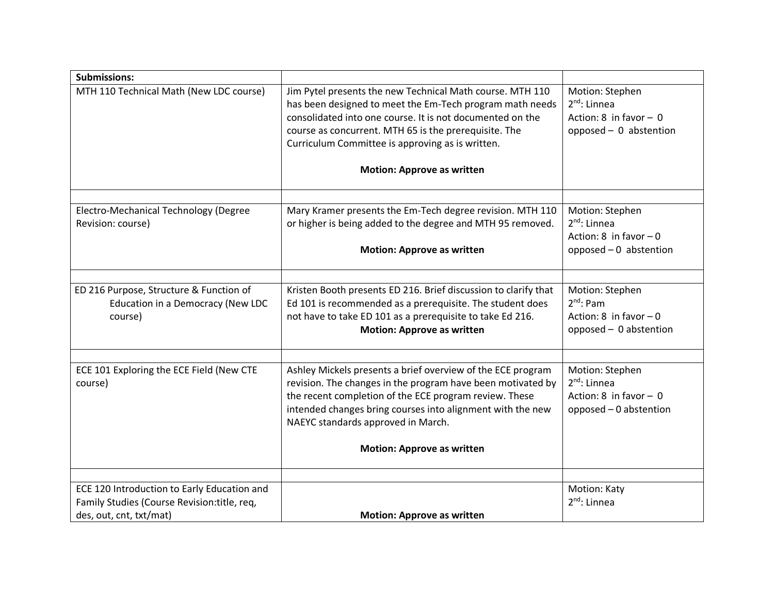| <b>Submissions:</b>                                                                                                    |                                                                                                                                                                                                                                                                                                 |                                                                                            |
|------------------------------------------------------------------------------------------------------------------------|-------------------------------------------------------------------------------------------------------------------------------------------------------------------------------------------------------------------------------------------------------------------------------------------------|--------------------------------------------------------------------------------------------|
| MTH 110 Technical Math (New LDC course)                                                                                | Jim Pytel presents the new Technical Math course. MTH 110<br>has been designed to meet the Em-Tech program math needs<br>consolidated into one course. It is not documented on the<br>course as concurrent. MTH 65 is the prerequisite. The<br>Curriculum Committee is approving as is written. | Motion: Stephen<br>$2^{nd}$ : Linnea<br>Action: $8$ in favor - 0<br>opposed - 0 abstention |
|                                                                                                                        | <b>Motion: Approve as written</b>                                                                                                                                                                                                                                                               |                                                                                            |
| Electro-Mechanical Technology (Degree                                                                                  | Mary Kramer presents the Em-Tech degree revision. MTH 110                                                                                                                                                                                                                                       | Motion: Stephen                                                                            |
| Revision: course)                                                                                                      | or higher is being added to the degree and MTH 95 removed.                                                                                                                                                                                                                                      | $2^{nd}$ : Linnea<br>Action: 8 in favor $-0$                                               |
|                                                                                                                        | <b>Motion: Approve as written</b>                                                                                                                                                                                                                                                               | opposed - 0 abstention                                                                     |
|                                                                                                                        |                                                                                                                                                                                                                                                                                                 |                                                                                            |
| ED 216 Purpose, Structure & Function of<br>Education in a Democracy (New LDC<br>course)                                | Kristen Booth presents ED 216. Brief discussion to clarify that<br>Ed 101 is recommended as a prerequisite. The student does<br>not have to take ED 101 as a prerequisite to take Ed 216.<br><b>Motion: Approve as written</b>                                                                  | Motion: Stephen<br>$2^{nd}$ : Pam<br>Action: 8 in favor $-0$<br>opposed - 0 abstention     |
|                                                                                                                        |                                                                                                                                                                                                                                                                                                 |                                                                                            |
| ECE 101 Exploring the ECE Field (New CTE<br>course)                                                                    | Ashley Mickels presents a brief overview of the ECE program<br>revision. The changes in the program have been motivated by<br>the recent completion of the ECE program review. These<br>intended changes bring courses into alignment with the new<br>NAEYC standards approved in March.        | Motion: Stephen<br>$2nd$ : Linnea<br>Action: $8$ in favor - 0<br>opposed - 0 abstention    |
|                                                                                                                        | <b>Motion: Approve as written</b>                                                                                                                                                                                                                                                               |                                                                                            |
|                                                                                                                        |                                                                                                                                                                                                                                                                                                 |                                                                                            |
| ECE 120 Introduction to Early Education and<br>Family Studies (Course Revision: title, req,<br>des, out, cnt, txt/mat) | <b>Motion: Approve as written</b>                                                                                                                                                                                                                                                               | Motion: Katy<br>$2^{nd}$ : Linnea                                                          |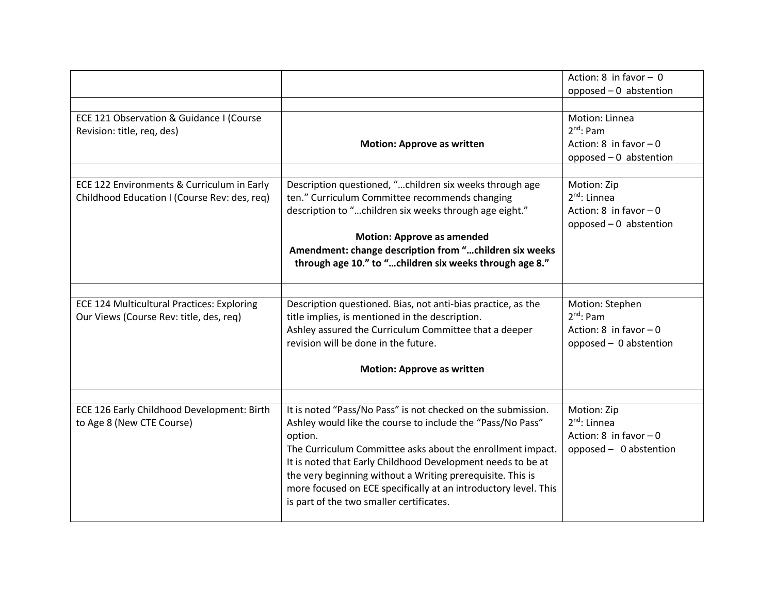|                                                   |                                                                                                                           | Action: $8$ in favor - 0          |
|---------------------------------------------------|---------------------------------------------------------------------------------------------------------------------------|-----------------------------------|
|                                                   |                                                                                                                           | opposed $-0$ abstention           |
|                                                   |                                                                                                                           |                                   |
| ECE 121 Observation & Guidance I (Course          |                                                                                                                           | Motion: Linnea                    |
| Revision: title, req, des)                        |                                                                                                                           | $2^{nd}$ : Pam                    |
|                                                   | <b>Motion: Approve as written</b>                                                                                         | Action: 8 in favor $-0$           |
|                                                   |                                                                                                                           | opposed - 0 abstention            |
| ECE 122 Environments & Curriculum in Early        | Description questioned, "children six weeks through age                                                                   | Motion: Zip                       |
| Childhood Education I (Course Rev: des, req)      | ten." Curriculum Committee recommends changing                                                                            | $2nd$ : Linnea                    |
|                                                   | description to "children six weeks through age eight."                                                                    | Action: 8 in favor $-0$           |
|                                                   |                                                                                                                           | opposed $-0$ abstention           |
|                                                   | <b>Motion: Approve as amended</b>                                                                                         |                                   |
|                                                   | Amendment: change description from "children six weeks                                                                    |                                   |
|                                                   | through age 10." to "children six weeks through age 8."                                                                   |                                   |
|                                                   |                                                                                                                           |                                   |
|                                                   |                                                                                                                           |                                   |
| <b>ECE 124 Multicultural Practices: Exploring</b> | Description questioned. Bias, not anti-bias practice, as the                                                              | Motion: Stephen<br>$2^{nd}$ : Pam |
| Our Views (Course Rev: title, des, req)           | title implies, is mentioned in the description.<br>Ashley assured the Curriculum Committee that a deeper                  | Action: 8 in favor $-0$           |
|                                                   | revision will be done in the future.                                                                                      | opposed - 0 abstention            |
|                                                   |                                                                                                                           |                                   |
|                                                   | <b>Motion: Approve as written</b>                                                                                         |                                   |
|                                                   |                                                                                                                           |                                   |
|                                                   |                                                                                                                           |                                   |
| ECE 126 Early Childhood Development: Birth        | It is noted "Pass/No Pass" is not checked on the submission.                                                              | Motion: Zip                       |
| to Age 8 (New CTE Course)                         | Ashley would like the course to include the "Pass/No Pass"                                                                | $2^{nd}$ : Linnea                 |
|                                                   | option.                                                                                                                   | Action: 8 in favor $-0$           |
|                                                   | The Curriculum Committee asks about the enrollment impact.                                                                | opposed - 0 abstention            |
|                                                   | It is noted that Early Childhood Development needs to be at<br>the very beginning without a Writing prerequisite. This is |                                   |
|                                                   | more focused on ECE specifically at an introductory level. This                                                           |                                   |
|                                                   | is part of the two smaller certificates.                                                                                  |                                   |
|                                                   |                                                                                                                           |                                   |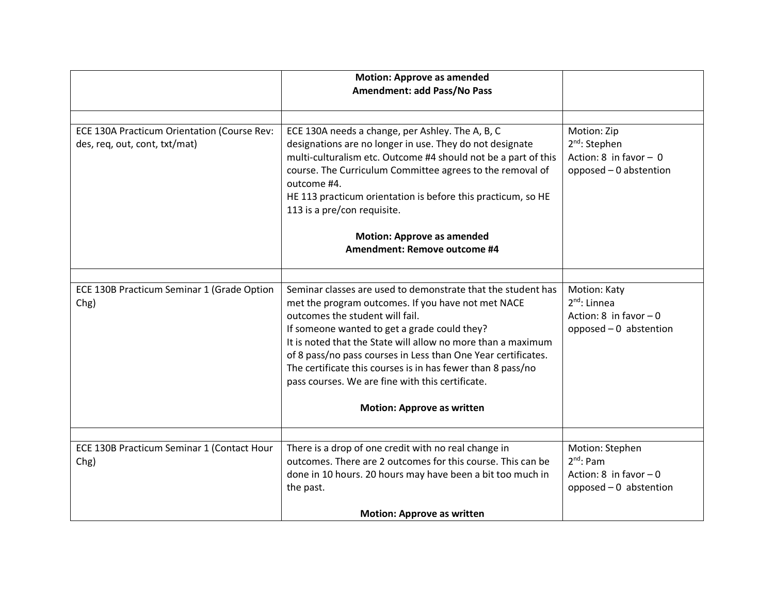|                                                                              | <b>Motion: Approve as amended</b><br>Amendment: add Pass/No Pass                                                                                                                                                                                                                                                                                                                                                                                          |                                                                                        |
|------------------------------------------------------------------------------|-----------------------------------------------------------------------------------------------------------------------------------------------------------------------------------------------------------------------------------------------------------------------------------------------------------------------------------------------------------------------------------------------------------------------------------------------------------|----------------------------------------------------------------------------------------|
|                                                                              |                                                                                                                                                                                                                                                                                                                                                                                                                                                           |                                                                                        |
|                                                                              |                                                                                                                                                                                                                                                                                                                                                                                                                                                           |                                                                                        |
| ECE 130A Practicum Orientation (Course Rev:<br>des, req, out, cont, txt/mat) | ECE 130A needs a change, per Ashley. The A, B, C<br>designations are no longer in use. They do not designate<br>multi-culturalism etc. Outcome #4 should not be a part of this<br>course. The Curriculum Committee agrees to the removal of<br>outcome #4.<br>HE 113 practicum orientation is before this practicum, so HE<br>113 is a pre/con requisite.                                                                                                 | Motion: Zip<br>$2nd$ : Stephen<br>Action: $8$ in favor - 0<br>opposed - 0 abstention   |
|                                                                              | <b>Motion: Approve as amended</b>                                                                                                                                                                                                                                                                                                                                                                                                                         |                                                                                        |
|                                                                              | Amendment: Remove outcome #4                                                                                                                                                                                                                                                                                                                                                                                                                              |                                                                                        |
|                                                                              |                                                                                                                                                                                                                                                                                                                                                                                                                                                           |                                                                                        |
| ECE 130B Practicum Seminar 1 (Grade Option<br>Chg)                           | Seminar classes are used to demonstrate that the student has<br>met the program outcomes. If you have not met NACE<br>outcomes the student will fail.<br>If someone wanted to get a grade could they?<br>It is noted that the State will allow no more than a maximum<br>of 8 pass/no pass courses in Less than One Year certificates.<br>The certificate this courses is in has fewer than 8 pass/no<br>pass courses. We are fine with this certificate. | Motion: Katy<br>$2^{nd}$ : Linnea<br>Action: 8 in favor $-0$<br>opposed - 0 abstention |
|                                                                              | <b>Motion: Approve as written</b>                                                                                                                                                                                                                                                                                                                                                                                                                         |                                                                                        |
|                                                                              |                                                                                                                                                                                                                                                                                                                                                                                                                                                           |                                                                                        |
| ECE 130B Practicum Seminar 1 (Contact Hour<br>Chg)                           | There is a drop of one credit with no real change in<br>outcomes. There are 2 outcomes for this course. This can be                                                                                                                                                                                                                                                                                                                                       | Motion: Stephen<br>$2^{nd}$ : Pam                                                      |
|                                                                              | done in 10 hours. 20 hours may have been a bit too much in                                                                                                                                                                                                                                                                                                                                                                                                | Action: 8 in favor $-0$                                                                |
|                                                                              | the past.                                                                                                                                                                                                                                                                                                                                                                                                                                                 | opposed $-0$ abstention                                                                |
|                                                                              | <b>Motion: Approve as written</b>                                                                                                                                                                                                                                                                                                                                                                                                                         |                                                                                        |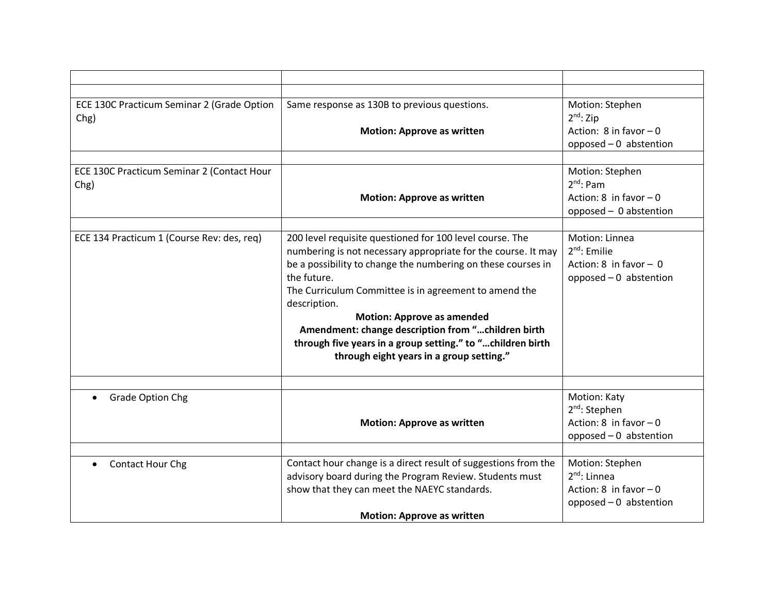| ECE 130C Practicum Seminar 2 (Grade Option<br>Chg) | Same response as 130B to previous questions.<br><b>Motion: Approve as written</b>                                                                                                                                                                                                                                                                                                                                                                                                      | Motion: Stephen<br>$2^{nd}$ : Zip<br>Action: $8$ in favor $-0$<br>opposed - 0 abstention         |
|----------------------------------------------------|----------------------------------------------------------------------------------------------------------------------------------------------------------------------------------------------------------------------------------------------------------------------------------------------------------------------------------------------------------------------------------------------------------------------------------------------------------------------------------------|--------------------------------------------------------------------------------------------------|
| ECE 130C Practicum Seminar 2 (Contact Hour<br>Chg) | <b>Motion: Approve as written</b>                                                                                                                                                                                                                                                                                                                                                                                                                                                      | Motion: Stephen<br>$2^{nd}$ : Pam<br>Action: $8$ in favor $-0$<br>opposed - 0 abstention         |
| ECE 134 Practicum 1 (Course Rev: des, req)         | 200 level requisite questioned for 100 level course. The<br>numbering is not necessary appropriate for the course. It may<br>be a possibility to change the numbering on these courses in<br>the future.<br>The Curriculum Committee is in agreement to amend the<br>description.<br><b>Motion: Approve as amended</b><br>Amendment: change description from "children birth<br>through five years in a group setting." to "children birth<br>through eight years in a group setting." | Motion: Linnea<br>$2nd$ : Emilie<br>Action: $8$ in favor - 0<br>opposed - 0 abstention           |
| <b>Grade Option Chg</b>                            | <b>Motion: Approve as written</b>                                                                                                                                                                                                                                                                                                                                                                                                                                                      | Motion: Katy<br>2 <sup>nd</sup> : Stephen<br>Action: $8$ in favor $-0$<br>opposed - 0 abstention |
| <b>Contact Hour Chg</b>                            | Contact hour change is a direct result of suggestions from the<br>advisory board during the Program Review. Students must<br>show that they can meet the NAEYC standards.<br><b>Motion: Approve as written</b>                                                                                                                                                                                                                                                                         | Motion: Stephen<br>$2^{nd}$ : Linnea<br>Action: 8 in favor $-0$<br>opposed - 0 abstention        |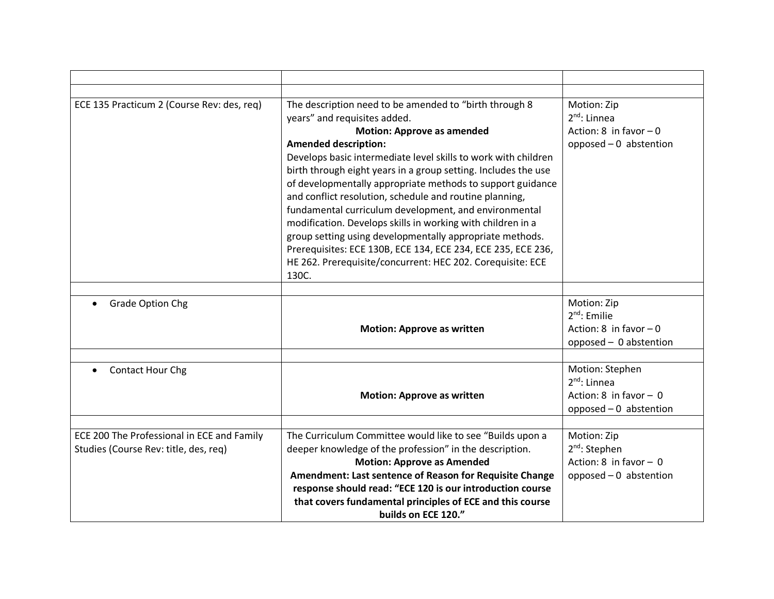| ECE 135 Practicum 2 (Course Rev: des, req)                                          | The description need to be amended to "birth through 8<br>years" and requisites added.<br><b>Motion: Approve as amended</b><br><b>Amended description:</b><br>Develops basic intermediate level skills to work with children<br>birth through eight years in a group setting. Includes the use<br>of developmentally appropriate methods to support guidance<br>and conflict resolution, schedule and routine planning,<br>fundamental curriculum development, and environmental<br>modification. Develops skills in working with children in a<br>group setting using developmentally appropriate methods.<br>Prerequisites: ECE 130B, ECE 134, ECE 234, ECE 235, ECE 236,<br>HE 262. Prerequisite/concurrent: HEC 202. Corequisite: ECE<br>130C. | Motion: Zip<br>$2^{nd}$ : Linnea<br>Action: 8 in favor $-0$<br>opposed - 0 abstention          |
|-------------------------------------------------------------------------------------|----------------------------------------------------------------------------------------------------------------------------------------------------------------------------------------------------------------------------------------------------------------------------------------------------------------------------------------------------------------------------------------------------------------------------------------------------------------------------------------------------------------------------------------------------------------------------------------------------------------------------------------------------------------------------------------------------------------------------------------------------|------------------------------------------------------------------------------------------------|
| <b>Grade Option Chg</b>                                                             | <b>Motion: Approve as written</b>                                                                                                                                                                                                                                                                                                                                                                                                                                                                                                                                                                                                                                                                                                                  | Motion: Zip<br>$2nd$ : Emilie<br>Action: 8 in favor $-0$<br>opposed - 0 abstention             |
| Contact Hour Chg                                                                    | <b>Motion: Approve as written</b>                                                                                                                                                                                                                                                                                                                                                                                                                                                                                                                                                                                                                                                                                                                  | Motion: Stephen<br>$2^{nd}$ : Linnea<br>Action: $8$ in favor - 0<br>opposed $-0$ abstention    |
| ECE 200 The Professional in ECE and Family<br>Studies (Course Rev: title, des, req) | The Curriculum Committee would like to see "Builds upon a<br>deeper knowledge of the profession" in the description.<br><b>Motion: Approve as Amended</b><br>Amendment: Last sentence of Reason for Requisite Change<br>response should read: "ECE 120 is our introduction course<br>that covers fundamental principles of ECE and this course<br>builds on ECE 120."                                                                                                                                                                                                                                                                                                                                                                              | Motion: Zip<br>2 <sup>nd</sup> : Stephen<br>Action: $8$ in favor - 0<br>opposed - 0 abstention |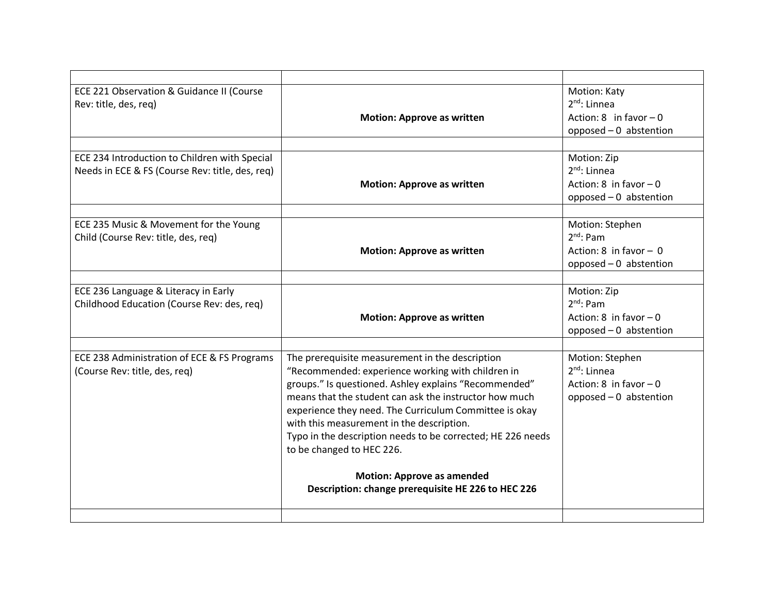| ECE 221 Observation & Guidance II (Course<br>Rev: title, des, reg)                               | <b>Motion: Approve as written</b>                                                                                                                                                                                                                                                                                                                                                                                                                                                                                     | Motion: Katy<br>$2^{nd}$ : Linnea<br>Action: $8 \text{ in favor} - 0$<br>opposed $-0$ abstention |
|--------------------------------------------------------------------------------------------------|-----------------------------------------------------------------------------------------------------------------------------------------------------------------------------------------------------------------------------------------------------------------------------------------------------------------------------------------------------------------------------------------------------------------------------------------------------------------------------------------------------------------------|--------------------------------------------------------------------------------------------------|
|                                                                                                  |                                                                                                                                                                                                                                                                                                                                                                                                                                                                                                                       |                                                                                                  |
| ECE 234 Introduction to Children with Special<br>Needs in ECE & FS (Course Rev: title, des, req) | <b>Motion: Approve as written</b>                                                                                                                                                                                                                                                                                                                                                                                                                                                                                     | Motion: Zip<br>$2^{nd}$ : Linnea<br>Action: $8$ in favor $-0$<br>opposed $-0$ abstention         |
| ECE 235 Music & Movement for the Young<br>Child (Course Rev: title, des, req)                    | <b>Motion: Approve as written</b>                                                                                                                                                                                                                                                                                                                                                                                                                                                                                     | Motion: Stephen<br>$2^{nd}$ : Pam<br>Action: 8 in favor $-0$<br>opposed $-0$ abstention          |
| ECE 236 Language & Literacy in Early<br>Childhood Education (Course Rev: des, req)               | <b>Motion: Approve as written</b>                                                                                                                                                                                                                                                                                                                                                                                                                                                                                     | Motion: Zip<br>$2^{nd}$ : Pam<br>Action: 8 in favor $-0$<br>opposed - 0 abstention               |
| ECE 238 Administration of ECE & FS Programs<br>(Course Rev: title, des, req)                     | The prerequisite measurement in the description<br>"Recommended: experience working with children in<br>groups." Is questioned. Ashley explains "Recommended"<br>means that the student can ask the instructor how much<br>experience they need. The Curriculum Committee is okay<br>with this measurement in the description.<br>Typo in the description needs to be corrected; HE 226 needs<br>to be changed to HEC 226.<br><b>Motion: Approve as amended</b><br>Description: change prerequisite HE 226 to HEC 226 | Motion: Stephen<br>$2^{nd}$ : Linnea<br>Action: 8 in favor $-0$<br>opposed $-0$ abstention       |
|                                                                                                  |                                                                                                                                                                                                                                                                                                                                                                                                                                                                                                                       |                                                                                                  |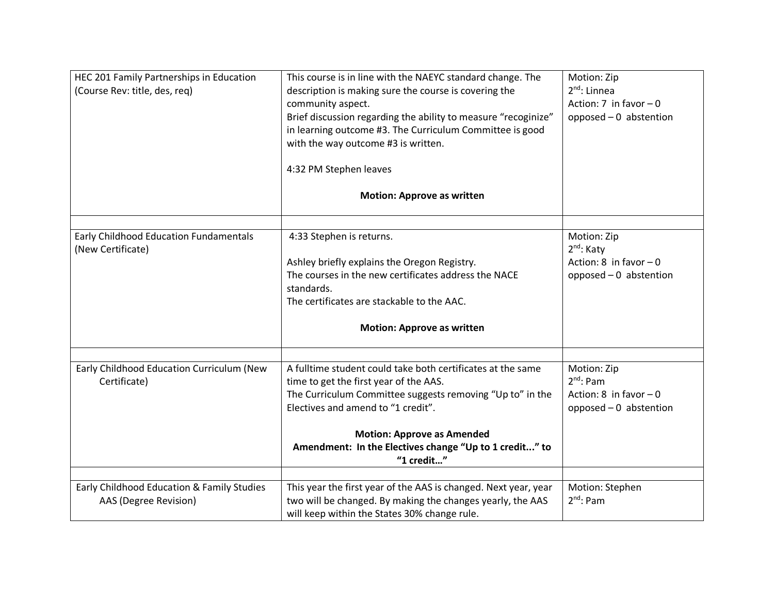| HEC 201 Family Partnerships in Education<br>(Course Rev: title, des, req) | This course is in line with the NAEYC standard change. The<br>description is making sure the course is covering the<br>community aspect.<br>Brief discussion regarding the ability to measure "recoginize"<br>in learning outcome #3. The Curriculum Committee is good<br>with the way outcome #3 is written.<br>4:32 PM Stephen leaves | Motion: Zip<br>$2^{nd}$ : Linnea<br>Action: $7$ in favor $-0$<br>opposed - 0 abstention      |
|---------------------------------------------------------------------------|-----------------------------------------------------------------------------------------------------------------------------------------------------------------------------------------------------------------------------------------------------------------------------------------------------------------------------------------|----------------------------------------------------------------------------------------------|
|                                                                           | <b>Motion: Approve as written</b>                                                                                                                                                                                                                                                                                                       |                                                                                              |
| Early Childhood Education Fundamentals<br>(New Certificate)               | 4:33 Stephen is returns.<br>Ashley briefly explains the Oregon Registry.<br>The courses in the new certificates address the NACE<br>standards.<br>The certificates are stackable to the AAC.<br><b>Motion: Approve as written</b>                                                                                                       | Motion: Zip<br>2 <sup>nd</sup> : Katy<br>Action: $8$ in favor $-0$<br>opposed - 0 abstention |
| Early Childhood Education Curriculum (New<br>Certificate)                 | A fulltime student could take both certificates at the same<br>time to get the first year of the AAS.<br>The Curriculum Committee suggests removing "Up to" in the<br>Electives and amend to "1 credit".<br><b>Motion: Approve as Amended</b><br>Amendment: In the Electives change "Up to 1 credit" to<br>"1 credit"                   | Motion: Zip<br>$2^{nd}$ : Pam<br>Action: 8 in favor $-0$<br>opposed - 0 abstention           |
| Early Childhood Education & Family Studies<br>AAS (Degree Revision)       | This year the first year of the AAS is changed. Next year, year<br>two will be changed. By making the changes yearly, the AAS<br>will keep within the States 30% change rule.                                                                                                                                                           | Motion: Stephen<br>$2^{nd}$ : Pam                                                            |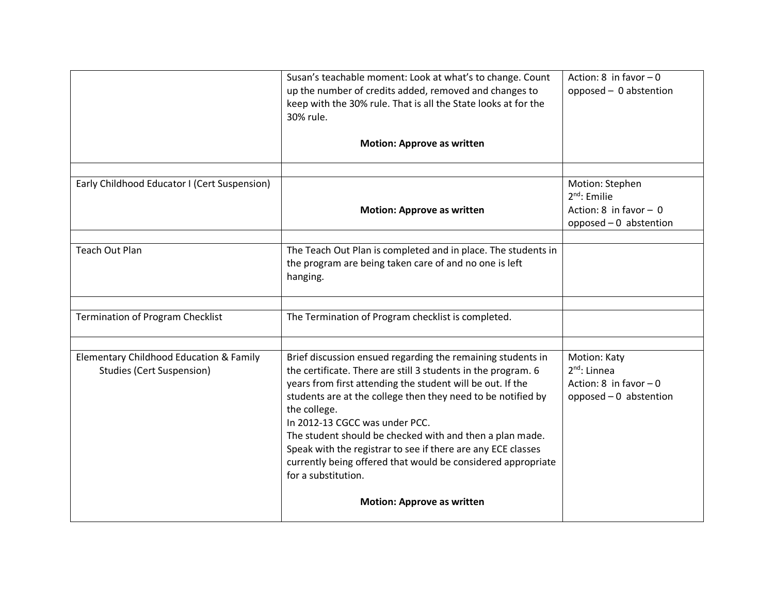|                                                                             | Susan's teachable moment: Look at what's to change. Count<br>up the number of credits added, removed and changes to<br>keep with the 30% rule. That is all the State looks at for the<br>30% rule.                                                                                                                                                                                                                                                                                                                              | Action: 8 in favor $-0$<br>opposed - 0 abstention                                       |
|-----------------------------------------------------------------------------|---------------------------------------------------------------------------------------------------------------------------------------------------------------------------------------------------------------------------------------------------------------------------------------------------------------------------------------------------------------------------------------------------------------------------------------------------------------------------------------------------------------------------------|-----------------------------------------------------------------------------------------|
|                                                                             | <b>Motion: Approve as written</b>                                                                                                                                                                                                                                                                                                                                                                                                                                                                                               |                                                                                         |
| Early Childhood Educator I (Cert Suspension)                                | <b>Motion: Approve as written</b>                                                                                                                                                                                                                                                                                                                                                                                                                                                                                               | Motion: Stephen<br>$2nd$ : Emilie<br>Action: $8$ in favor - 0<br>opposed - 0 abstention |
| <b>Teach Out Plan</b>                                                       | The Teach Out Plan is completed and in place. The students in<br>the program are being taken care of and no one is left<br>hanging.                                                                                                                                                                                                                                                                                                                                                                                             |                                                                                         |
| <b>Termination of Program Checklist</b>                                     | The Termination of Program checklist is completed.                                                                                                                                                                                                                                                                                                                                                                                                                                                                              |                                                                                         |
| Elementary Childhood Education & Family<br><b>Studies (Cert Suspension)</b> | Brief discussion ensued regarding the remaining students in<br>the certificate. There are still 3 students in the program. 6<br>years from first attending the student will be out. If the<br>students are at the college then they need to be notified by<br>the college.<br>In 2012-13 CGCC was under PCC.<br>The student should be checked with and then a plan made.<br>Speak with the registrar to see if there are any ECE classes<br>currently being offered that would be considered appropriate<br>for a substitution. | Motion: Katy<br>$2^{nd}$ : Linnea<br>Action: 8 in favor $-0$<br>opposed - 0 abstention  |
|                                                                             | <b>Motion: Approve as written</b>                                                                                                                                                                                                                                                                                                                                                                                                                                                                                               |                                                                                         |